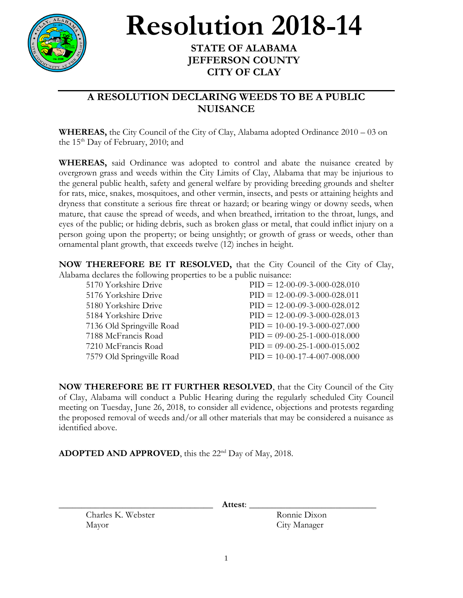

## **Resolution 2018-14**

## **STATE OF ALABAMA JEFFERSON COUNTY CITY OF CLAY**

## **A RESOLUTION DECLARING WEEDS TO BE A PUBLIC NUISANCE**

**WHEREAS,** the City Council of the City of Clay, Alabama adopted Ordinance 2010 – 03 on the  $15<sup>th</sup>$  Day of February, 2010; and

**WHEREAS,** said Ordinance was adopted to control and abate the nuisance created by overgrown grass and weeds within the City Limits of Clay, Alabama that may be injurious to the general public health, safety and general welfare by providing breeding grounds and shelter for rats, mice, snakes, mosquitoes, and other vermin, insects, and pests or attaining heights and dryness that constitute a serious fire threat or hazard; or bearing wingy or downy seeds, when mature, that cause the spread of weeds, and when breathed, irritation to the throat, lungs, and eyes of the public; or hiding debris, such as broken glass or metal, that could inflict injury on a person going upon the property; or being unsightly; or growth of grass or weeds, other than ornamental plant growth, that exceeds twelve (12) inches in height.

**NOW THEREFORE BE IT RESOLVED,** that the City Council of the City of Clay, Alabama declares the following properties to be a public nuisance:

| 5170 Yorkshire Drive      | $PID = 12-00-09-3-000-028.010$ |
|---------------------------|--------------------------------|
| 5176 Yorkshire Drive      | $PID = 12-00-09-3-000-028.011$ |
| 5180 Yorkshire Drive      | $PID = 12-00-09-3-000-028.012$ |
| 5184 Yorkshire Drive      | $PID = 12-00-09-3-000-028.013$ |
| 7136 Old Springville Road | $PID = 10-00-19-3-000-027.000$ |
| 7188 McFrancis Road       | $PID = 09-00-25-1-000-018.000$ |
| 7210 McFrancis Road       | $PID = 09-00-25-1-000-015.002$ |
| 7579 Old Springville Road | $PID = 10-00-17-4-007-008.000$ |
|                           |                                |

**NOW THEREFORE BE IT FURTHER RESOLVED**, that the City Council of the City of Clay, Alabama will conduct a Public Hearing during the regularly scheduled City Council meeting on Tuesday, June 26, 2018, to consider all evidence, objections and protests regarding the proposed removal of weeds and/or all other materials that may be considered a nuisance as identified above.

ADOPTED AND APPROVED, this the 22<sup>nd</sup> Day of May, 2018.

\_\_\_\_\_\_\_\_\_\_\_\_\_\_\_\_\_\_\_\_\_\_\_\_\_\_\_\_\_\_\_\_\_\_ **Attest**: \_\_\_\_\_\_\_\_\_\_\_\_\_\_\_\_\_\_\_\_\_\_\_\_\_\_\_\_

Charles K. Webster Ronnie Dixon Mayor City Manager